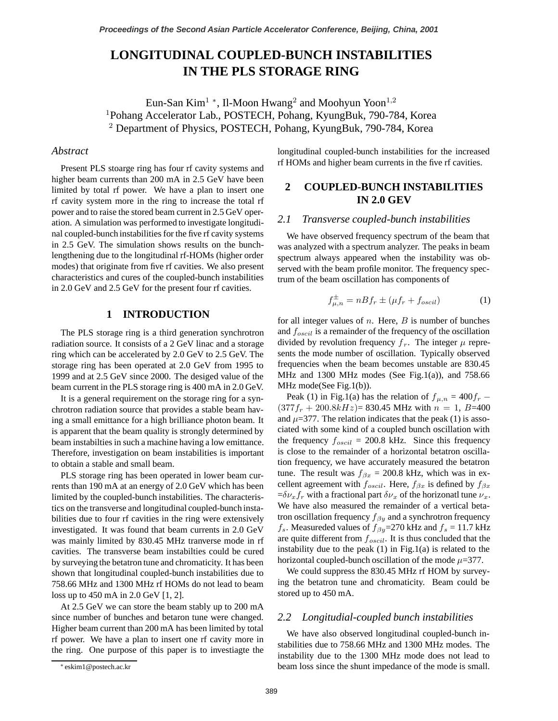# **LONGITUDINAL COUPLED-BUNCH INSTABILITIES IN THE PLS STORAGE RING**

Eun-San Kim<sup>1</sup> <sup>∗</sup>, Il-Moon Hwang<sup>2</sup> and Moohyun Yoon<sup>1</sup>*,*<sup>2</sup> <sup>1</sup>Pohang Accelerator Lab., POSTECH, Pohang, KyungBuk, 790-784, Korea <sup>2</sup> Department of Physics, POSTECH, Pohang, KyungBuk, 790-784, Korea

### *Abstract*

Present PLS stoarge ring has four rf cavity systems and higher beam currents than 200 mA in 2.5 GeV have been limited by total rf power. We have a plan to insert one rf cavity system more in the ring to increase the total rf power and to raise the stored beam current in 2.5 GeV operation. A simulation was performed to investigate longitudinal coupled-bunch instabilities for the five rf cavity systems in 2.5 GeV. The simulation shows results on the bunchlengthening due to the longitudinal rf-HOMs (higher order modes) that originate from five rf cavities. We also present characteristics and cures of the coupled-bunch instabilities in 2.0 GeV and 2.5 GeV for the present four rf cavities.

### **1 INTRODUCTION**

The PLS storage ring is a third generation synchrotron radiation source. It consists of a 2 GeV linac and a storage ring which can be accelerated by 2.0 GeV to 2.5 GeV. The storage ring has been operated at 2.0 GeV from 1995 to 1999 and at 2.5 GeV since 2000. The desiged value of the beam current in the PLS storage ring is 400 mA in 2.0 GeV.

It is a general requirement on the storage ring for a synchrotron radiation source that provides a stable beam having a small emittance for a high brilliance photon beam. It is apparent that the beam quality is strongly determined by beam instabilties in such a machine having a low emittance. Therefore, investigation on beam instabilities is important to obtain a stable and small beam.

PLS storage ring has been operated in lower beam currents than 190 mA at an energy of 2.0 GeV which has been limited by the coupled-bunch instabilities. The characteristics on the transverse and longitudinal coupled-bunch instabilities due to four rf cavities in the ring were extensively investigated. It was found that beam currents in 2.0 GeV was mainly limited by 830.45 MHz tranverse mode in rf cavities. The transverse beam instabilties could be cured by surveying the betatron tune and chromaticity. It has been shown that longitudinal coupled-bunch instabilities due to 758.66 MHz and 1300 MHz rf HOMs do not lead to beam loss up to 450 mA in 2.0 GeV [1, 2].

At 2.5 GeV we can store the beam stably up to 200 mA since number of bunches and betaron tune were changed. Higher beam current than 200 mA has been limited by total rf power. We have a plan to insert one rf cavity more in the ring. One purpose of this paper is to investiagte the longitudinal coupled-bunch instabilities for the increased rf HOMs and higher beam currents in the five rf cavities.

# **2 COUPLED-BUNCH INSTABILITIES IN 2.0 GEV**

#### *2.1 Transverse coupled-bunch instabilities*

We have observed frequency spectrum of the beam that was analyzed with a spectrum analyzer. The peaks in beam spectrum always appeared when the instability was observed with the beam profile monitor. The frequency spectrum of the beam oscillation has components of

$$
f_{\mu,n}^{\pm} = nBf_r \pm (\mu f_r + f_{oscil})
$$
 (1)

for all integer values of  $n$ . Here,  $B$  is number of bunches and  $f_{oscil}$  is a remainder of the frequency of the oscillation divided by revolution frequency  $f_r$ . The integer  $\mu$  represents the mode number of oscillation. Typically observed frequencies when the beam becomes unstable are 830.45 MHz and 1300 MHz modes (See Fig.1(a)), and  $758.66$ MHz mode(See Fig.1(b)).

Peak (1) in Fig.1(a) has the relation of  $f_{\mu,n} = 400f_r$  −  $(377f_r + 200.8kHz) = 830.45 \text{ MHz with } n = 1, B=400$ and  $\mu$ =377. The relation indicates that the peak (1) is associated with some kind of a coupled bunch oscillation with the frequency  $f_{\text{oscil}} = 200.8 \text{ kHz}$ . Since this frequency is close to the remainder of a horizontal betatron oscillation frequency, we have accurately measured the betatron tune. The result was  $f_{\beta x} = 200.8$  kHz, which was in excellent agreement with  $f_{oscil}$ . Here,  $f_{\beta x}$  is defined by  $f_{\beta x}$  $=\delta v_x f_r$  with a fractional part  $\delta v_x$  of the horizonatl tune  $v_x$ . We have also measured the remainder of a vertical betatron oscillation frequency  $f_{\beta y}$  and a synchrotron frequency  $f_s$ . Measureded values of  $f_{\beta y}$ =270 kHz and  $f_s$  = 11.7 kHz are quite different from  $f_{\text{oscil}}$ . It is thus concluded that the instability due to the peak  $(1)$  in Fig.1 $(a)$  is related to the horizontal coupled-bunch oscillation of the mode  $\mu$ =377.

We could suppress the 830.45 MHz rf HOM by surveying the betatron tune and chromaticity. Beam could be stored up to 450 mA.

# *2.2 Longitudial-coupled bunch instabilities*

We have also observed longitudinal coupled-bunch instabilities due to 758.66 MHz and 1300 MHz modes. The instability due to the 1300 MHz mode does not lead to beam loss since the shunt impedance of the mode is small.

<sup>∗</sup> eskim1@postech.ac.kr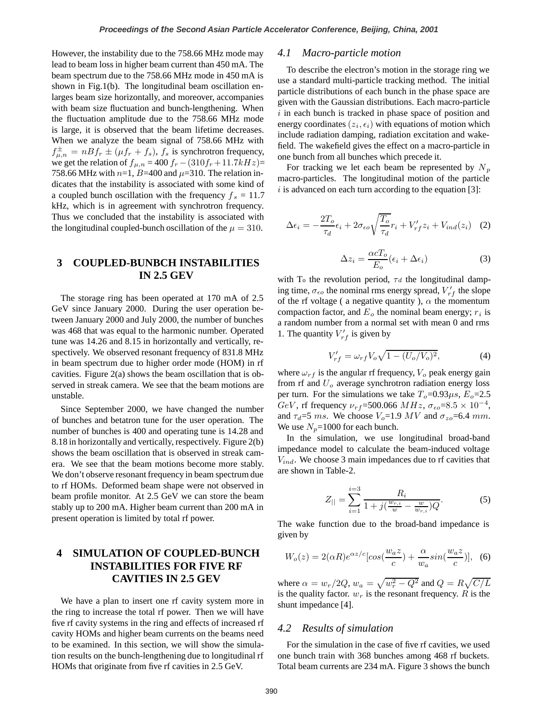However, the instability due to the 758.66 MHz mode may lead to beam loss in higher beam current than 450 mA. The beam spectrum due to the 758.66 MHz mode in 450 mA is shown in Fig.1(b). The longitudinal beam oscillation enlarges beam size horizontally, and moreover, accompanies with beam size fluctuation and bunch-lengthening. When the fluctuation amplitude due to the 758.66 MHz mode is large, it is observed that the beam lifetime decreases. When we analyze the beam signal of 758.66 MHz with  $f_{\mu,n}^{\pm} = nBf_r \pm (\mu f_r + f_s)$ ,  $f_s$  is synchrotron frequency, we get the relation of  $f_{\mu,n} = 400 f_r - (310f_r + 11.7kHz) =$ 758.66 MHz with  $n=1$ ,  $B=400$  and  $\mu=310$ . The relation indicates that the instability is associated with some kind of a coupled bunch oscillation with the frequency  $f_s = 11.7$ kHz, which is in agreement with synchrotron frequency. Thus we concluded that the instability is associated with the longitudinal coupled-bunch oscillation of the  $\mu = 310$ .

# **3 COUPLED-BUNBCH INSTABILITIES IN 2.5 GEV**

The storage ring has been operated at 170 mA of 2.5 GeV since January 2000. During the user operation between January 2000 and July 2000, the number of bunches was 468 that was equal to the harmonic number. Operated tune was 14.26 and 8.15 in horizontally and vertically, respectively. We observed resonant frequency of 831.8 MHz in beam spectrum due to higher order mode (HOM) in rf cavities. Figure  $2(a)$  shows the beam oscillation that is observed in streak camera. We see that the beam motions are unstable.

Since September 2000, we have changed the number of bunches and betatron tune for the user operation. The number of bunches is 400 and operating tune is 14.28 and 8.18 in horizontally and vertically, respectively. Figure 2(b) shows the beam oscillation that is observed in streak camera. We see that the beam motions become more stably. We don't observe resonant frequency in beam spectrum due to rf HOMs. Deformed beam shape were not observed in beam profile monitor. At 2.5 GeV we can store the beam stably up to 200 mA. Higher beam current than 200 mA in present operation is limited by total rf power.

# **4 SIMULATION OF COUPLED-BUNCH INSTABILITIES FOR FIVE RF CAVITIES IN 2.5 GEV**

We have a plan to insert one rf cavity system more in the ring to increase the total rf power. Then we will have five rf cavity systems in the ring and effects of increased rf cavity HOMs and higher beam currents on the beams need to be examined. In this section, we will show the simulation results on the bunch-lengthening due to longitudinal rf HOMs that originate from five rf cavities in 2.5 GeV.

#### *4.1 Macro-particle motion*

To describe the electron's motion in the storage ring we use a standard multi-particle tracking method. The initial particle distributions of each bunch in the phase space are given with the Gaussian distributions. Each macro-particle  $i$  in each bunch is tracked in phase space of position and energy coordinates  $(z_i, \epsilon_i)$  with equations of motion which include radiation damping, radiation excitation and wakefield. The wakefield gives the effect on a macro-particle in one bunch from all bunches which precede it.

For tracking we let each beam be represented by  $N_p$ macro-particles. The longitudinal motion of the particle  $i$  is advanced on each turn according to the equation [3]:

$$
\Delta \epsilon_i = -\frac{2T_o}{\tau_d} \epsilon_i + 2\sigma_{\epsilon o} \sqrt{\frac{T_o}{\tau_d}} r_i + V'_{rf} z_i + V_{ind}(z_i) \quad (2)
$$

$$
\Delta z_i = \frac{\alpha c T_o}{E_o} (\epsilon_i + \Delta \epsilon_i)
$$
\n(3)

with T<sub>o</sub> the revolution period,  $\tau d$  the longitudinal damping time,  $\sigma_{\epsilon o}$  the nominal rms energy spread,  $V_{rf}'$  the slope of the rf voltage ( a negative quantity ),  $\alpha$  the momentum compaction factor, and  $E<sub>o</sub>$  the nominal beam energy;  $r<sub>i</sub>$  is a random number from a normal set with mean 0 and rms 1. The quantity  $V_{rf}'$  is given by

$$
V'_{rf} = \omega_{rf} V_o \sqrt{1 - (U_o/V_o)^2},
$$
 (4)

where  $\omega_{rf}$  is the angular rf frequency,  $V_o$  peak energy gain from rf and  $U<sub>o</sub>$  average synchrotron radiation energy loss per turn. For the simulations we take  $T_o=0.93\mu s$ ,  $E_o=2.5$ GeV, rf frequency  $\nu_{rf}$ =500.066 MHz,  $\sigma_{\epsilon o}$ =8.5 × 10<sup>-4</sup>, and  $\tau_d = 5$  ms. We choose  $V_o = 1.9$  MV and  $\sigma_{zo} = 6.4$  mm. We use  $N_p$ =1000 for each bunch.

In the simulation, we use longitudinal broad-band impedance model to calculate the beam-induced voltage  $V_{ind}$ . We choose 3 main impedances due to rf cavities that are shown in Table-2.

$$
Z_{||} = \sum_{i=1}^{i=3} \frac{R_i}{1 + j(\frac{w_{r,i}}{w} - \frac{w}{w_{r,i}})Q}.
$$
 (5)

The wake function due to the broad-band impedance is given by

$$
W_o(z) = 2(\alpha R)e^{\alpha z/c}[\cos(\frac{w_a z}{c}) + \frac{\alpha}{w_a}\sin(\frac{w_a z}{c})], \quad (6)
$$

where  $\alpha = w_r/2Q$ ,  $w_a = \sqrt{w_r^2 - Q^2}$  and  $Q = R\sqrt{C/L}$ is the quality factor.  $w_r$  is the resonant frequency.  $R$  is the shunt impedance [4].

### *4.2 Results of simulation*

For the simulation in the case of five rf cavities, we used one bunch train with 368 bunches among 468 rf buckets. Total beam currents are 234 mA. Figure 3 shows the bunch